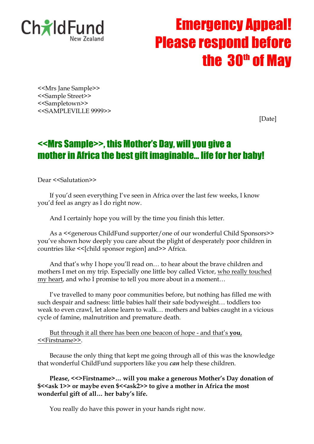

# Emergency Appeal! Please respond before the  $30<sup>th</sup>$  of May

<<Mrs Jane Sample>> <<Sample Street>> <<Sampletown>> <<SAMPLEVILLE 9999>>

[Date]

## <<Mrs Sample>>, this Mother's Day, will you give a mother in Africa the best gift imaginable… life for her baby!

Dear <<Salutation>>

If you'd seen everything I've seen in Africa over the last few weeks, I know you'd feel as angry as I do right now.

And I certainly hope you will by the time you finish this letter.

As a <<generous ChildFund supporter/one of our wonderful Child Sponsors>> you've shown how deeply you care about the plight of desperately poor children in countries like <<[child sponsor region] and>> Africa.

And that's why I hope you'll read on… to hear about the brave children and mothers I met on my trip. Especially one little boy called Victor, who really touched my heart, and who I promise to tell you more about in a moment…

I've travelled to many poor communities before, but nothing has filled me with such despair and sadness: little babies half their safe bodyweight… toddlers too weak to even crawl, let alone learn to walk… mothers and babies caught in a vicious cycle of famine, malnutrition and premature death.

But through it all there has been one beacon of hope - and that's **you**, <<Firstname>>.

Because the only thing that kept me going through all of this was the knowledge that wonderful ChildFund supporters like you *can* help these children.

**Please, <<>Firstname>… will you make a generous Mother's Day donation of \$<<ask 1>> or maybe even \$<<ask2>> to give a mother in Africa the most wonderful gift of all… her baby's life.**

You really do have this power in your hands right now.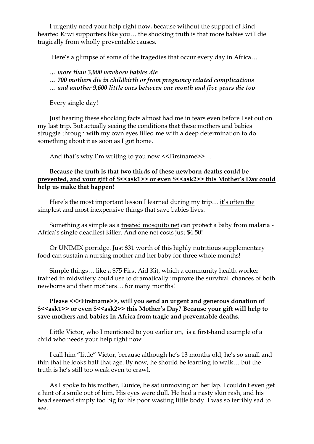I urgently need your help right now, because without the support of kindhearted Kiwi supporters like you… the shocking truth is that more babies will die tragically from wholly preventable causes.

Here's a glimpse of some of the tragedies that occur every day in Africa…

- *… more than 3,000 newborn babies die*
- *… 700 mothers die in childbirth or from pregnancy related complications*
- *… and another 9,600 little ones between one month and five years die too*

Every single day!

Just hearing these shocking facts almost had me in tears even before I set out on my last trip. But actually seeing the conditions that these mothers and babies struggle through with my own eyes filled me with a deep determination to do something about it as soon as I got home.

And that's why I'm writing to you now <<Firstname>>...

### **Because the truth is that two thirds of these newborn deaths could be**  prevented, and your gift of \$<<ask1>> or even \$<<ask2>> this Mother's Day could **help us make that happen!**

Here's the most important lesson I learned during my trip… it's often the simplest and most inexpensive things that save babies lives.

Something as simple as a treated mosquito net can protect a baby from malaria - Africa's single deadliest killer. And one net costs just \$4.50!

Or UNIMIX porridge. Just \$31 worth of this highly nutritious supplementary food can sustain a nursing mother and her baby for three whole months!

Simple things… like a \$75 First Aid Kit, which a community health worker trained in midwifery could use to dramatically improve the survival chances of both newborns and their mothers… for many months!

#### **Please <<>Firstname>>, will you send an urgent and generous donation of \$<<ask1>> or even \$<<ask2>> this Mother's Day? Because your gift will help to save mothers and babies in Africa from tragic and preventable deaths.**

Little Victor, who I mentioned to you earlier on, is a first-hand example of a child who needs your help right now.

I call him "little" Victor, because although he's 13 months old, he's so small and thin that he looks half that age. By now, he should be learning to walk… but the truth is he's still too weak even to crawl.

As I spoke to his mother, Eunice, he sat unmoving on her lap. I couldn't even get a hint of a smile out of him. His eyes were dull. He had a nasty skin rash, and his head seemed simply too big for his poor wasting little body. I was so terribly sad to see.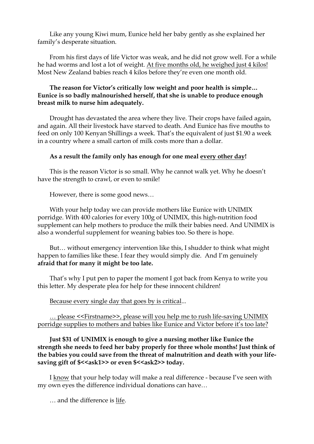Like any young Kiwi mum, Eunice held her baby gently as she explained her family's desperate situation.

From his first days of life Victor was weak, and he did not grow well. For a while he had worms and lost a lot of weight. At five months old, he weighed just 4 kilos! Most New Zealand babies reach 4 kilos before they're even one month old.

#### **The reason for Victor's critically low weight and poor health is simple… Eunice is so badly malnourished herself, that she is unable to produce enough breast milk to nurse him adequately.**

Drought has devastated the area where they live. Their crops have failed again, and again. All their livestock have starved to death. And Eunice has five mouths to feed on only 100 Kenyan Shillings a week. That's the equivalent of just \$1.90 a week in a country where a small carton of milk costs more than a dollar.

#### **As a result the family only has enough for one meal every other day!**

This is the reason Victor is so small. Why he cannot walk yet. Why he doesn't have the strength to crawl, or even to smile!

However, there is some good news…

With your help today we can provide mothers like Eunice with UNIMIX porridge. With 400 calories for every 100g of UNIMIX, this high-nutrition food supplement can help mothers to produce the milk their babies need. And UNIMIX is also a wonderful supplement for weaning babies too. So there is hope.

But… without emergency intervention like this, I shudder to think what might happen to families like these. I fear they would simply die. And I'm genuinely **afraid that for many it might be too late.**

That's why I put pen to paper the moment I got back from Kenya to write you this letter. My desperate plea for help for these innocent children!

Because every single day that goes by is critical...

… please <<Firstname>>, please will you help me to rush life-saving UNIMIX porridge supplies to mothers and babies like Eunice and Victor before it's too late?

#### **Just \$31 of UNIMIX is enough to give a nursing mother like Eunice the strength she needs to feed her baby properly for three whole months! Just think of the babies you could save from the threat of malnutrition and death with your life**saving gift of \$<<ask1>> or even \$<<ask2>> today.

I know that your help today will make a real difference - because I've seen with my own eyes the difference individual donations can have…

… and the difference is life.